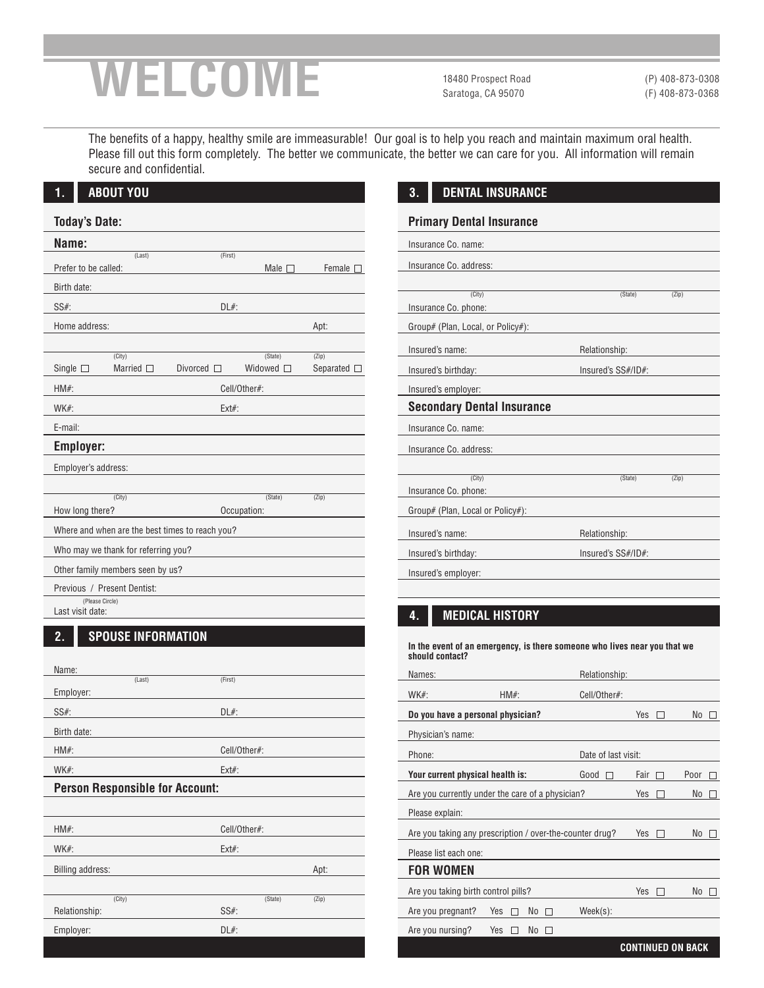# **WELCOME**

18480 Prospect Road Saratoga, CA 95070

(P) 408-873-0308 (F) 408-873-0368

The benefits of a happy, healthy smile are immeasurable! Our goal is to help you reach and maintain maximum oral health. Please fill out this form completely. The better we communicate, the better we can care for you. All information will remain secure and confidential.

| Name:                |                                     |                                                 |                   |                     |  |
|----------------------|-------------------------------------|-------------------------------------------------|-------------------|---------------------|--|
| Prefer to be called: | (Last)                              | (First)                                         | Male $\square$    | Female [            |  |
| Birth date:          |                                     |                                                 |                   |                     |  |
| $SS#$ :              |                                     | $DL#$ :                                         |                   |                     |  |
|                      |                                     |                                                 |                   |                     |  |
| Home address:        |                                     |                                                 |                   | Apt:                |  |
|                      | (City)                              |                                                 | (State)           | (Zip)               |  |
| Single $\square$     | Married $\square$                   | Divorced $\Box$                                 | Widowed $\square$ | Separated $\square$ |  |
| $HM#$ :              |                                     | Cell/Other#:                                    |                   |                     |  |
| WK#:                 |                                     | $Ext#$ :                                        |                   |                     |  |
| E-mail:              |                                     |                                                 |                   |                     |  |
| <b>Employer:</b>     |                                     |                                                 |                   |                     |  |
| Employer's address:  |                                     |                                                 |                   |                     |  |
|                      |                                     |                                                 |                   |                     |  |
|                      | (City)                              |                                                 | (State)           | (Zip)               |  |
| How long there?      |                                     |                                                 | Occupation:       |                     |  |
|                      |                                     | Where and when are the best times to reach you? |                   |                     |  |
|                      | Who may we thank for referring you? |                                                 |                   |                     |  |
|                      | Other family members seen by us?    |                                                 |                   |                     |  |
|                      | Previous / Present Dentist:         |                                                 |                   |                     |  |
| (Please Circle)      | Last visit date:                    |                                                 |                   |                     |  |

| Name:                                  |              |       |  |  |  |
|----------------------------------------|--------------|-------|--|--|--|
| (Last)                                 | (First)      |       |  |  |  |
| Employer:                              |              |       |  |  |  |
| $SS#$ :                                | $DL#$ :      |       |  |  |  |
| Birth date:                            |              |       |  |  |  |
| $HM#$ :                                | Cell/Other#: |       |  |  |  |
| $WK#$ :                                | $Ext#$ :     |       |  |  |  |
| <b>Person Responsible for Account:</b> |              |       |  |  |  |
|                                        |              |       |  |  |  |
| $HM#$ :                                | Cell/Other#: |       |  |  |  |
| $WK#$ :                                | $Ext#$ :     |       |  |  |  |
| Billing address:                       |              | Apt:  |  |  |  |
|                                        |              |       |  |  |  |
| (City)                                 | (State)      | (Zip) |  |  |  |
| Relationship:                          | $SS#$ :      |       |  |  |  |
| Employer:                              | $DL#$ :      |       |  |  |  |
|                                        |              |       |  |  |  |

### **3. DENTAL INSURANCE**

#### **Primary Dental Insurance**

| Insurance Co. name:               |                    |       |
|-----------------------------------|--------------------|-------|
| Insurance Co. address:            |                    |       |
|                                   |                    |       |
| (City)                            | (State)            | (Zip) |
| Insurance Co. phone:              |                    |       |
| Group# (Plan, Local, or Policy#): |                    |       |
| Insured's name:                   | Relationship:      |       |
| Insured's birthday:               | Insured's SS#/ID#: |       |
| Insured's employer:               |                    |       |
| <b>Secondary Dental Insurance</b> |                    |       |
| Insurance Co. name:               |                    |       |
| Insurance Co. address:            |                    |       |
|                                   |                    |       |
| (City)                            | (State)            | (Zip) |
| Insurance Co. phone:              |                    |       |
| Group# (Plan, Local or Policy#):  |                    |       |
| Insured's name:                   | Relationship:      |       |
| Insured's birthday:               | Insured's SS#/ID#: |       |
| Insured's employer:               |                    |       |
|                                   |                    |       |

## **4. MEDICAL HISTORY**

**In the event of an emergency, is there someone who lives near you that we should contact?**

| Names:                                                   |                                   | Relationship:       |      |      |  |
|----------------------------------------------------------|-----------------------------------|---------------------|------|------|--|
| $WK#$ :                                                  | $HM#$ :                           | Cell/Other#:        |      |      |  |
|                                                          | Do you have a personal physician? |                     | Yes  | No   |  |
| Physician's name:                                        |                                   |                     |      |      |  |
| Phone:                                                   |                                   | Date of last visit: |      |      |  |
| Your current physical health is:                         |                                   | Good                | Fair | Poor |  |
| Are you currently under the care of a physician?         |                                   |                     | Yes  | No   |  |
| Please explain:                                          |                                   |                     |      |      |  |
| Are you taking any prescription / over-the-counter drug? |                                   |                     | Yes  | No   |  |
| Please list each one:                                    |                                   |                     |      |      |  |
| <b>FOR WOMEN</b>                                         |                                   |                     |      |      |  |
| Are you taking birth control pills?                      |                                   |                     | Yes  | No   |  |
| Are you pregnant?                                        | Yes<br>No<br>$\Box$               | Week(s):            |      |      |  |
| Are you nursing?                                         | Yes<br>No                         |                     |      |      |  |